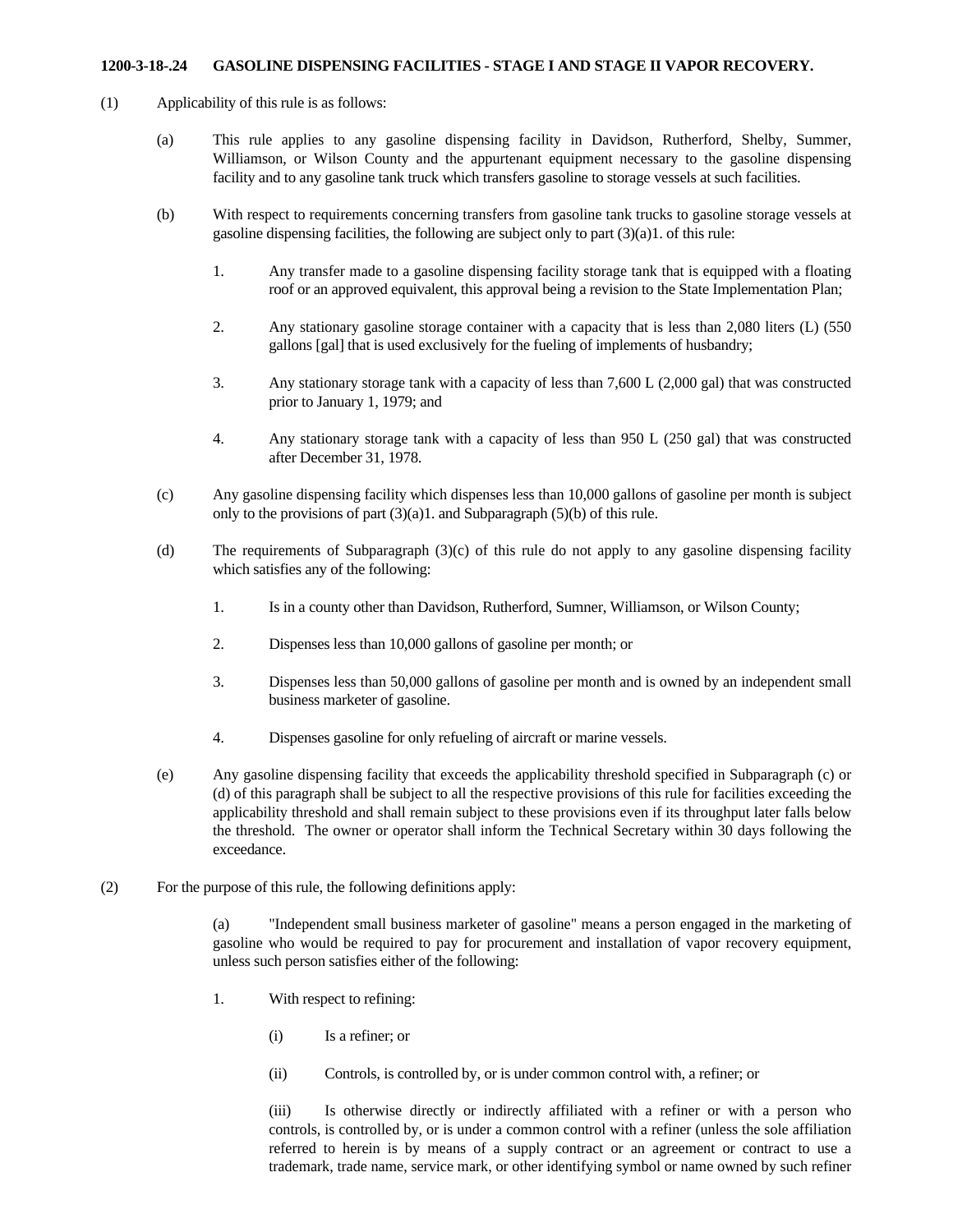## **1200-3-18-.24 GASOLINE DISPENSING FACILITIES - STAGE I AND STAGE II VAPOR RECOVERY.**

- (1) Applicability of this rule is as follows:
	- (a) This rule applies to any gasoline dispensing facility in Davidson, Rutherford, Shelby, Summer, Williamson, or Wilson County and the appurtenant equipment necessary to the gasoline dispensing facility and to any gasoline tank truck which transfers gasoline to storage vessels at such facilities.
	- (b) With respect to requirements concerning transfers from gasoline tank trucks to gasoline storage vessels at gasoline dispensing facilities, the following are subject only to part  $(3)(a)1$ . of this rule:
		- 1. Any transfer made to a gasoline dispensing facility storage tank that is equipped with a floating roof or an approved equivalent, this approval being a revision to the State Implementation Plan;
		- 2. Any stationary gasoline storage container with a capacity that is less than 2,080 liters (L) (550 gallons [gal] that is used exclusively for the fueling of implements of husbandry;
		- 3. Any stationary storage tank with a capacity of less than 7,600 L (2,000 gal) that was constructed prior to January 1, 1979; and
		- 4. Any stationary storage tank with a capacity of less than 950 L (250 gal) that was constructed after December 31, 1978.
	- (c) Any gasoline dispensing facility which dispenses less than 10,000 gallons of gasoline per month is subject only to the provisions of part (3)(a)1. and Subparagraph (5)(b) of this rule.
	- (d) The requirements of Subparagraph (3)(c) of this rule do not apply to any gasoline dispensing facility which satisfies any of the following:
		- 1. Is in a county other than Davidson, Rutherford, Sumner, Williamson, or Wilson County;
		- 2. Dispenses less than 10,000 gallons of gasoline per month; or
		- 3. Dispenses less than 50,000 gallons of gasoline per month and is owned by an independent small business marketer of gasoline.
		- 4. Dispenses gasoline for only refueling of aircraft or marine vessels.
	- (e) Any gasoline dispensing facility that exceeds the applicability threshold specified in Subparagraph (c) or (d) of this paragraph shall be subject to all the respective provisions of this rule for facilities exceeding the applicability threshold and shall remain subject to these provisions even if its throughput later falls below the threshold. The owner or operator shall inform the Technical Secretary within 30 days following the exceedance.
- (2) For the purpose of this rule, the following definitions apply:

(a) "Independent small business marketer of gasoline" means a person engaged in the marketing of gasoline who would be required to pay for procurement and installation of vapor recovery equipment, unless such person satisfies either of the following:

- 1. With respect to refining:
	- (i) Is a refiner; or
	- (ii) Controls, is controlled by, or is under common control with, a refiner; or

(iii) Is otherwise directly or indirectly affiliated with a refiner or with a person who controls, is controlled by, or is under a common control with a refiner (unless the sole affiliation referred to herein is by means of a supply contract or an agreement or contract to use a trademark, trade name, service mark, or other identifying symbol or name owned by such refiner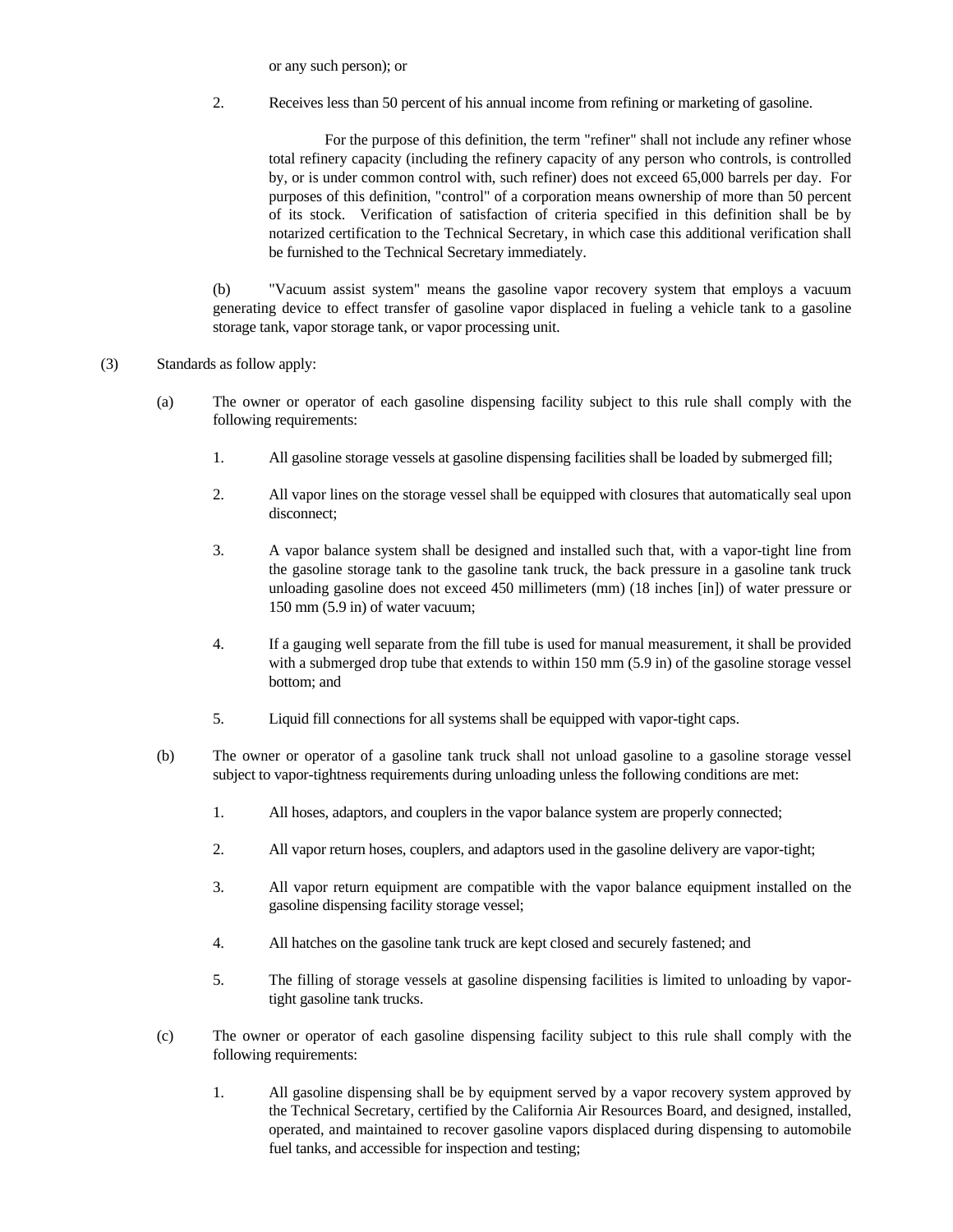or any such person); or

2. Receives less than 50 percent of his annual income from refining or marketing of gasoline.

For the purpose of this definition, the term "refiner" shall not include any refiner whose total refinery capacity (including the refinery capacity of any person who controls, is controlled by, or is under common control with, such refiner) does not exceed 65,000 barrels per day. For purposes of this definition, "control" of a corporation means ownership of more than 50 percent of its stock. Verification of satisfaction of criteria specified in this definition shall be by notarized certification to the Technical Secretary, in which case this additional verification shall be furnished to the Technical Secretary immediately.

(b) "Vacuum assist system" means the gasoline vapor recovery system that employs a vacuum generating device to effect transfer of gasoline vapor displaced in fueling a vehicle tank to a gasoline storage tank, vapor storage tank, or vapor processing unit.

- (3) Standards as follow apply:
	- (a) The owner or operator of each gasoline dispensing facility subject to this rule shall comply with the following requirements:
		- 1. All gasoline storage vessels at gasoline dispensing facilities shall be loaded by submerged fill;
		- 2. All vapor lines on the storage vessel shall be equipped with closures that automatically seal upon disconnect;
		- 3. A vapor balance system shall be designed and installed such that, with a vapor-tight line from the gasoline storage tank to the gasoline tank truck, the back pressure in a gasoline tank truck unloading gasoline does not exceed 450 millimeters (mm) (18 inches [in]) of water pressure or 150 mm (5.9 in) of water vacuum;
		- 4. If a gauging well separate from the fill tube is used for manual measurement, it shall be provided with a submerged drop tube that extends to within 150 mm (5.9 in) of the gasoline storage vessel bottom; and
		- 5. Liquid fill connections for all systems shall be equipped with vapor-tight caps.
	- (b) The owner or operator of a gasoline tank truck shall not unload gasoline to a gasoline storage vessel subject to vapor-tightness requirements during unloading unless the following conditions are met:
		- 1. All hoses, adaptors, and couplers in the vapor balance system are properly connected;
		- 2. All vapor return hoses, couplers, and adaptors used in the gasoline delivery are vapor-tight;
		- 3. All vapor return equipment are compatible with the vapor balance equipment installed on the gasoline dispensing facility storage vessel;
		- 4. All hatches on the gasoline tank truck are kept closed and securely fastened; and
		- 5. The filling of storage vessels at gasoline dispensing facilities is limited to unloading by vaportight gasoline tank trucks.
	- (c) The owner or operator of each gasoline dispensing facility subject to this rule shall comply with the following requirements:
		- 1. All gasoline dispensing shall be by equipment served by a vapor recovery system approved by the Technical Secretary, certified by the California Air Resources Board, and designed, installed, operated, and maintained to recover gasoline vapors displaced during dispensing to automobile fuel tanks, and accessible for inspection and testing;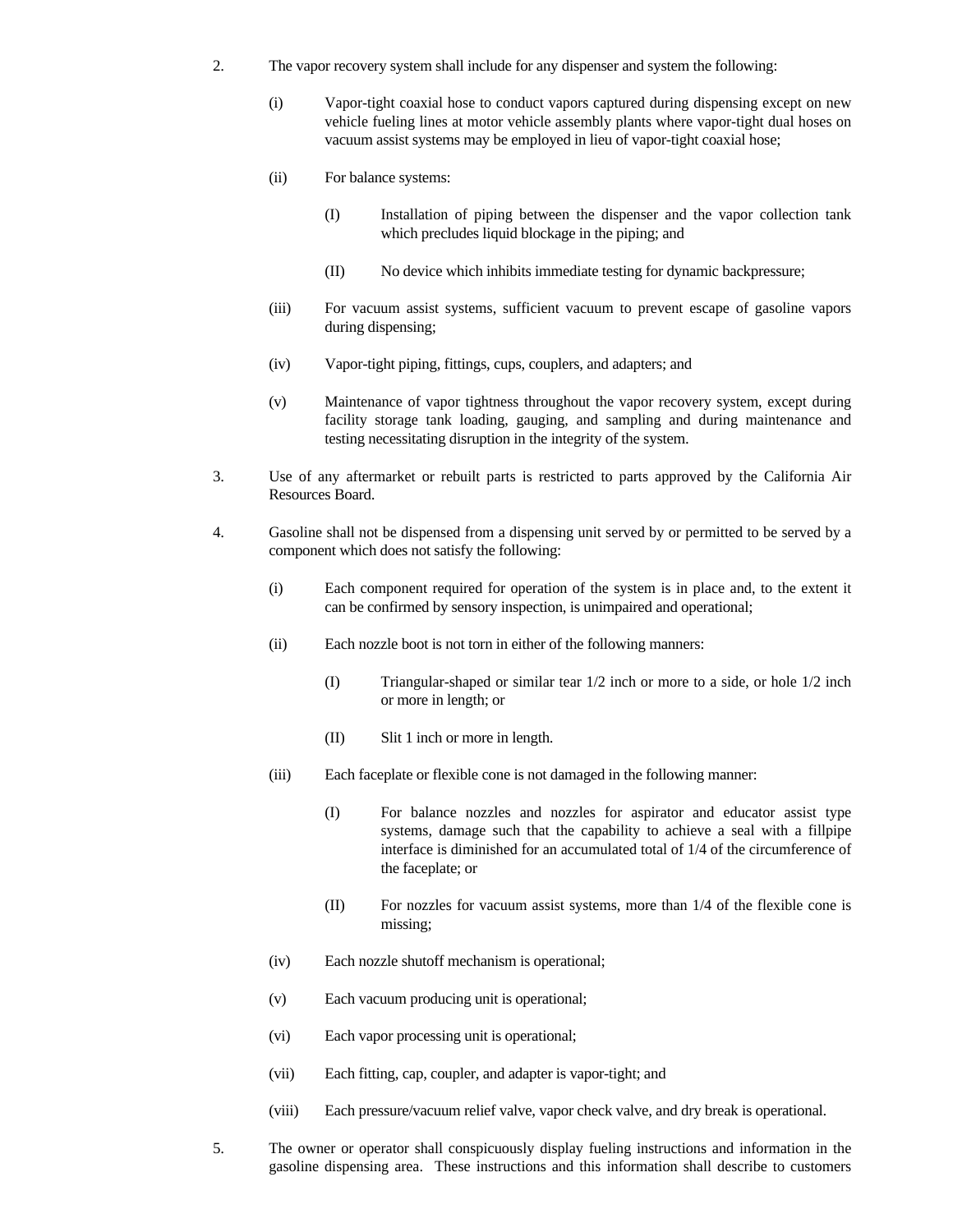- 2. The vapor recovery system shall include for any dispenser and system the following:
	- (i) Vapor-tight coaxial hose to conduct vapors captured during dispensing except on new vehicle fueling lines at motor vehicle assembly plants where vapor-tight dual hoses on vacuum assist systems may be employed in lieu of vapor-tight coaxial hose;
	- (ii) For balance systems:
		- (I) Installation of piping between the dispenser and the vapor collection tank which precludes liquid blockage in the piping; and
		- (II) No device which inhibits immediate testing for dynamic backpressure;
	- (iii) For vacuum assist systems, sufficient vacuum to prevent escape of gasoline vapors during dispensing;
	- (iv) Vapor-tight piping, fittings, cups, couplers, and adapters; and
	- (v) Maintenance of vapor tightness throughout the vapor recovery system, except during facility storage tank loading, gauging, and sampling and during maintenance and testing necessitating disruption in the integrity of the system.
- 3. Use of any aftermarket or rebuilt parts is restricted to parts approved by the California Air Resources Board.
- 4. Gasoline shall not be dispensed from a dispensing unit served by or permitted to be served by a component which does not satisfy the following:
	- (i) Each component required for operation of the system is in place and, to the extent it can be confirmed by sensory inspection, is unimpaired and operational;
	- (ii) Each nozzle boot is not torn in either of the following manners:
		- (I) Triangular-shaped or similar tear 1/2 inch or more to a side, or hole 1/2 inch or more in length; or
		- (II) Slit 1 inch or more in length.
	- (iii) Each faceplate or flexible cone is not damaged in the following manner:
		- (I) For balance nozzles and nozzles for aspirator and educator assist type systems, damage such that the capability to achieve a seal with a fillpipe interface is diminished for an accumulated total of 1/4 of the circumference of the faceplate; or
		- (II) For nozzles for vacuum assist systems, more than 1/4 of the flexible cone is missing;
	- (iv) Each nozzle shutoff mechanism is operational;
	- (v) Each vacuum producing unit is operational;
	- (vi) Each vapor processing unit is operational;
	- (vii) Each fitting, cap, coupler, and adapter is vapor-tight; and
	- (viii) Each pressure/vacuum relief valve, vapor check valve, and dry break is operational.
- 5. The owner or operator shall conspicuously display fueling instructions and information in the gasoline dispensing area. These instructions and this information shall describe to customers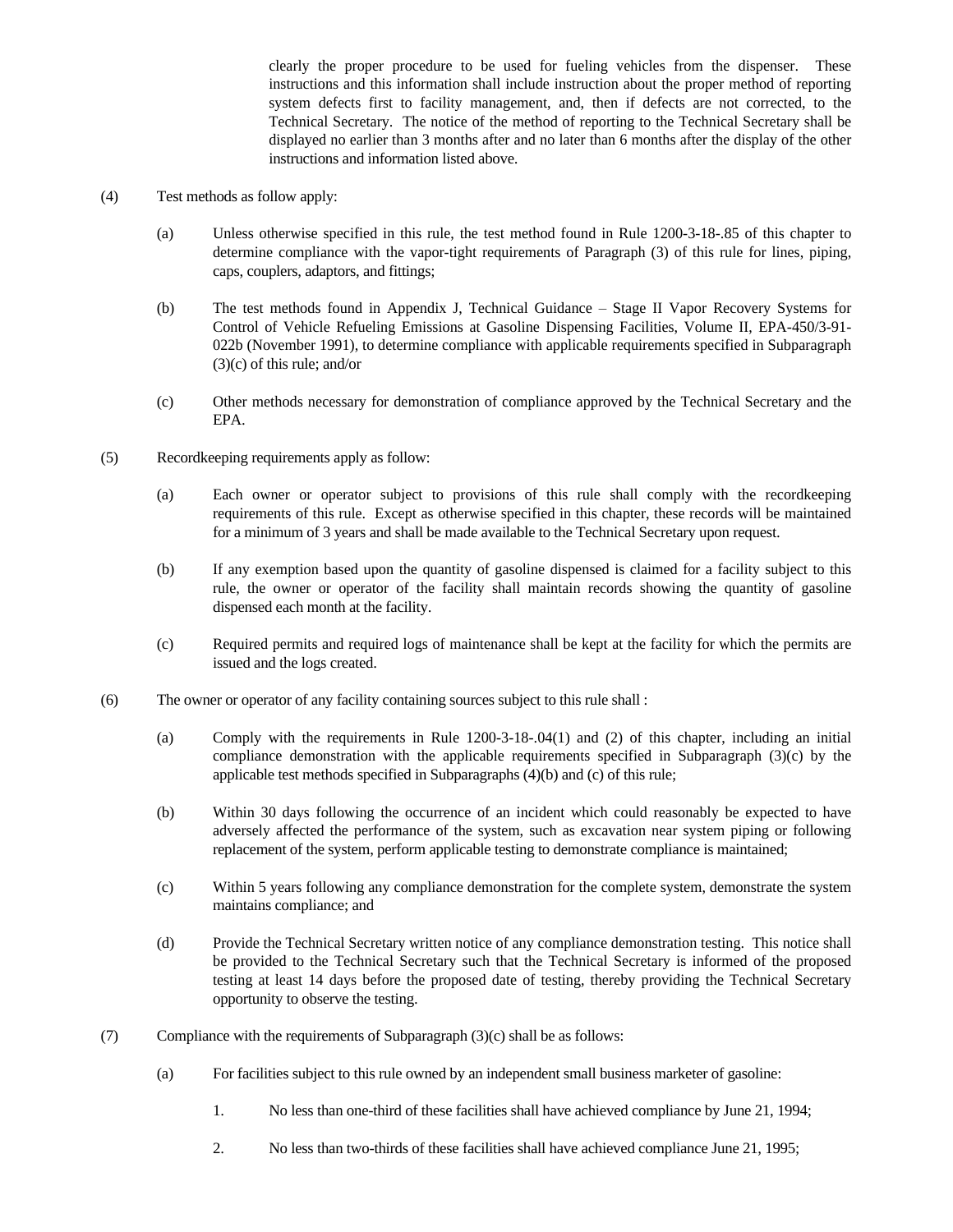clearly the proper procedure to be used for fueling vehicles from the dispenser. These instructions and this information shall include instruction about the proper method of reporting system defects first to facility management, and, then if defects are not corrected, to the Technical Secretary. The notice of the method of reporting to the Technical Secretary shall be displayed no earlier than 3 months after and no later than 6 months after the display of the other instructions and information listed above.

- (4) Test methods as follow apply:
	- (a) Unless otherwise specified in this rule, the test method found in Rule 1200-3-18-.85 of this chapter to determine compliance with the vapor-tight requirements of Paragraph (3) of this rule for lines, piping, caps, couplers, adaptors, and fittings;
	- (b) The test methods found in Appendix J, Technical Guidance Stage II Vapor Recovery Systems for Control of Vehicle Refueling Emissions at Gasoline Dispensing Facilities, Volume II, EPA-450/3-91- 022b (November 1991), to determine compliance with applicable requirements specified in Subparagraph (3)(c) of this rule; and/or
	- (c) Other methods necessary for demonstration of compliance approved by the Technical Secretary and the EPA.
- (5) Recordkeeping requirements apply as follow:
	- (a) Each owner or operator subject to provisions of this rule shall comply with the recordkeeping requirements of this rule. Except as otherwise specified in this chapter, these records will be maintained for a minimum of 3 years and shall be made available to the Technical Secretary upon request.
	- (b) If any exemption based upon the quantity of gasoline dispensed is claimed for a facility subject to this rule, the owner or operator of the facility shall maintain records showing the quantity of gasoline dispensed each month at the facility.
	- (c) Required permits and required logs of maintenance shall be kept at the facility for which the permits are issued and the logs created.
- (6) The owner or operator of any facility containing sources subject to this rule shall :
	- (a) Comply with the requirements in Rule 1200-3-18-.04(1) and (2) of this chapter, including an initial compliance demonstration with the applicable requirements specified in Subparagraph (3)(c) by the applicable test methods specified in Subparagraphs (4)(b) and (c) of this rule;
	- (b) Within 30 days following the occurrence of an incident which could reasonably be expected to have adversely affected the performance of the system, such as excavation near system piping or following replacement of the system, perform applicable testing to demonstrate compliance is maintained;
	- (c) Within 5 years following any compliance demonstration for the complete system, demonstrate the system maintains compliance; and
	- (d) Provide the Technical Secretary written notice of any compliance demonstration testing. This notice shall be provided to the Technical Secretary such that the Technical Secretary is informed of the proposed testing at least 14 days before the proposed date of testing, thereby providing the Technical Secretary opportunity to observe the testing.
- (7) Compliance with the requirements of Subparagraph (3)(c) shall be as follows:
	- (a) For facilities subject to this rule owned by an independent small business marketer of gasoline:
		- 1. No less than one-third of these facilities shall have achieved compliance by June 21, 1994;
		- 2. No less than two-thirds of these facilities shall have achieved compliance June 21, 1995;